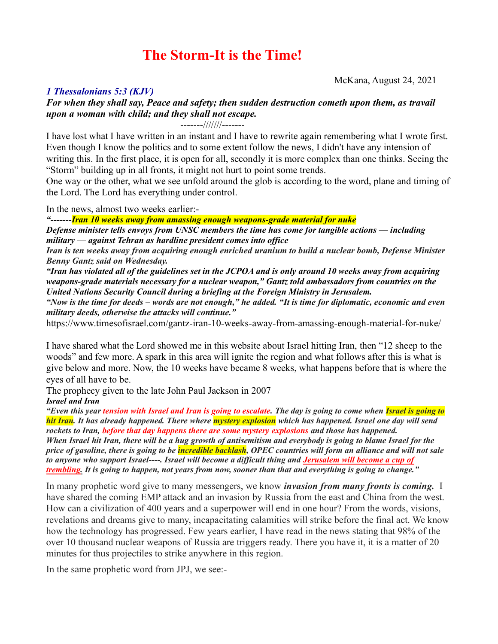# **The Storm-It is the Time!**

McKana, August 24, 2021

# *1 Thessalonians 5:3 (KJV)*

*For when they shall say, Peace and safety; then sudden destruction cometh upon them, as travail upon a woman with child; and they shall not escape.*

-------///////-------

I have lost what I have written in an instant and I have to rewrite again remembering what I wrote first. Even though I know the politics and to some extent follow the news, I didn't have any intension of writing this. In the first place, it is open for all, secondly it is more complex than one thinks. Seeing the "Storm" building up in all fronts, it might not hurt to point some trends.

One way or the other, what we see unfold around the glob is according to the word, plane and timing of the Lord. The Lord has everything under control.

In the news, almost two weeks earlier:-

*"-------Iran 10 weeks away from amassing enough weapons-grade material for nuke Defense minister tells envoys from UNSC members the time has come for tangible actions — including military — against Tehran as hardline president comes into office*

*Iran is ten weeks away from acquiring enough enriched uranium to build a nuclear bomb, Defense Minister Benny Gantz said on Wednesday.*

*"Iran has violated all of the guidelines set in the JCPOA and is only around 10 weeks away from acquiring weapons-grade materials necessary for a nuclear weapon," Gantz told ambassadors from countries on the United Nations Security Council during a briefing at the Foreign Ministry in Jerusalem.*

*"Now is the time for deeds – words are not enough," he added. "It is time for diplomatic, economic and even military deeds, otherwise the attacks will continue."*

<https://www.timesofisrael.com/gantz-iran-10-weeks-away-from-amassing-enough-material-for-nuke/>

I have shared what the Lord showed me in this website about Israel hitting Iran, then "12 sheep to the woods" and few more. A spark in this area will ignite the region and what follows after this is what is give below and more. Now, the 10 weeks have became 8 weeks, what happens before that is where the eyes of all have to be.

The prophecy given to the late John Paul Jackson in 2007 *Israel and Iran*

*"Even this year tension with Israel and Iran is going to escalate. The day is going to come when Israel is going to hit Iran. It has already happened. There where mystery explosion which has happened. Israel one day will send rockets to Iran, before that day happens there are some mystery explosions and those has happened. When Israel hit Iran, there will be a hug growth of antisemitism and everybody is going to blame Israel for the price of gasoline, there is going to be incredible backlash, OPEC countries will form an alliance and will not sale to anyone who support Israel----. Israel will become a difficult thing and Jerusalem will become a cup of trembling. It is going to happen, not years from now, sooner than that and everything is going to change."*

In many prophetic word give to many messengers, we know *invasion from many fronts is coming.* I have shared the coming EMP attack and an invasion by Russia from the east and China from the west. How can a civilization of 400 years and a superpower will end in one hour? From the words, visions, revelations and dreams give to many, incapacitating calamities will strike before the final act. We know how the technology has progressed. Few years earlier, I have read in the news stating that 98% of the over 10 thousand nuclear weapons of Russia are triggers ready. There you have it, it is a matter of 20 minutes for thus projectiles to strike anywhere in this region.

In the same prophetic word from JPJ, we see:-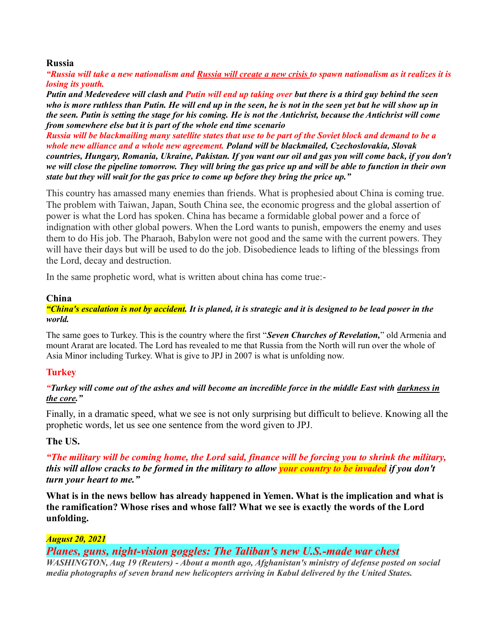#### **Russia**

*"Russia will take a new nationalism and Russia will create a new crisis to spawn nationalism as it realizes it is losing its youth.*

*Putin and Medevedeve will clash and Putin will end up taking over but there is a third guy behind the seen who is more ruthless than Putin. He will end up in the seen, he is not in the seen yet but he will show up in the seen. Putin is setting the stage for his coming. He is not the Antichrist, because the Antichrist will come from somewhere else but it is part of the whole end time scenario*

*Russia will be blackmailing many satellite states that use to be part of the Soviet block and demand to be a whole new alliance and a whole new agreement. Poland will be blackmailed, Czechoslovakia, Slovak countries, Hungary, Romania, Ukraine, Pakistan. If you want our oil and gas you will come back, if you don't we will close the pipeline tomorrow. They will bring the gas price up and will be able to function in their own state but they will wait for the gas price to come up before they bring the price up."*

This country has amassed many enemies than friends. What is prophesied about China is coming true. The problem with Taiwan, Japan, South China see, the economic progress and the global assertion of power is what the Lord has spoken. China has became a formidable global power and a force of indignation with other global powers. When the Lord wants to punish, empowers the enemy and uses them to do His job. The Pharaoh, Babylon were not good and the same with the current powers. They will have their days but will be used to do the job. Disobedience leads to lifting of the blessings from the Lord, decay and destruction.

In the same prophetic word, what is written about china has come true:-

### **China**

### *"China's escalation is not by accident. It is planed, it is strategic and it is designed to be lead power in the world.*

The same goes to Turkey. This is the country where the first "*Seven Churches of Revelation,*" old Armenia and mount Ararat are located. The Lord has revealed to me that Russia from the North will run over the whole of Asia Minor including Turkey. What is give to JPJ in 2007 is what is unfolding now.

# **Turkey**

# *"Turkey will come out of the ashes and will become an incredible force in the middle East with darkness in the core."*

Finally, in a dramatic speed, what we see is not only surprising but difficult to believe. Knowing all the prophetic words, let us see one sentence from the word given to JPJ.

# **The US.**

*"The military will be coming home, the Lord said, finance will be forcing you to shrink the military, this will allow cracks to be formed in the military to allow your country to be invaded if you don't turn your heart to me."*

**What is in the news bellow has already happened in Yemen. What is the implication and what is the ramification? Whose rises and whose fall? What we see is exactly the words of the Lord unfolding.**

# *August 20, 2021*

# *Planes, guns, night-vision goggles: The Taliban's new U.S.-made war chest*

*WASHINGTON, Aug 19 (Reuters) - About a month ago, Afghanistan's ministry of defense posted on social media photographs of seven brand new helicopters arriving in Kabul delivered by the United States.*